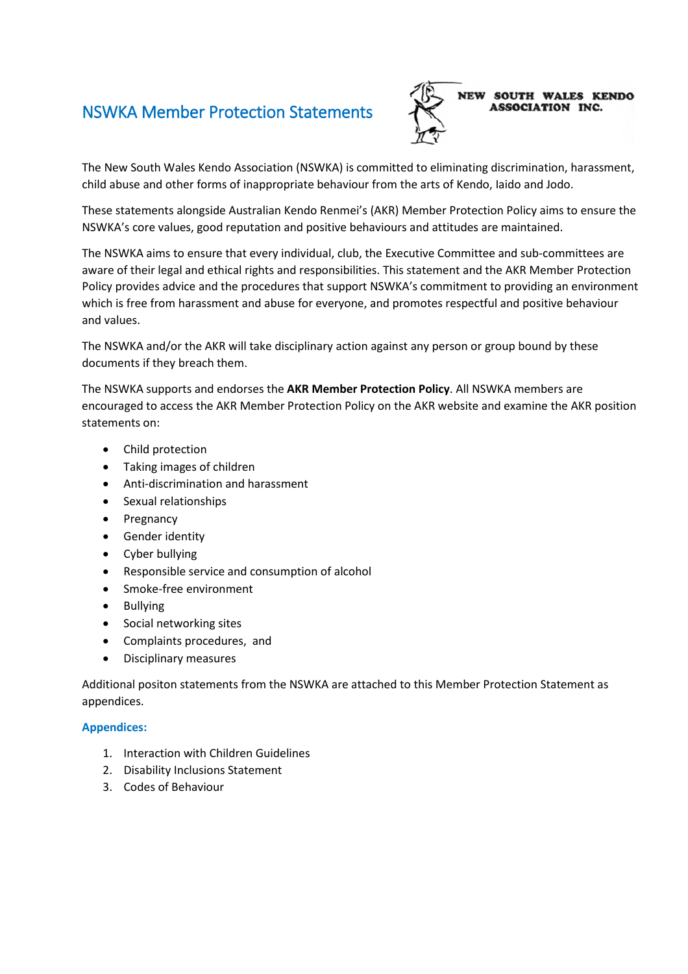### NSWKA Member Protection Statements



The New South Wales Kendo Association (NSWKA) is committed to eliminating discrimination, harassment, child abuse and other forms of inappropriate behaviour from the arts of Kendo, Iaido and Jodo.

These statements alongside Australian Kendo Renmei's (AKR) Member Protection Policy aims to ensure the NSWKA's core values, good reputation and positive behaviours and attitudes are maintained.

The NSWKA aims to ensure that every individual, club, the Executive Committee and sub-committees are aware of their legal and ethical rights and responsibilities. This statement and the AKR Member Protection Policy provides advice and the procedures that support NSWKA's commitment to providing an environment which is free from harassment and abuse for everyone, and promotes respectful and positive behaviour and values.

The NSWKA and/or the AKR will take disciplinary action against any person or group bound by these documents if they breach them.

The NSWKA supports and endorses the **AKR Member Protection Policy**. All NSWKA members are encouraged to access the AKR Member Protection Policy on the AKR website and examine the AKR position statements on:

- Child protection
- Taking images of children
- Anti-discrimination and harassment
- Sexual relationships
- Pregnancy
- Gender identity
- Cyber bullying
- Responsible service and consumption of alcohol
- Smoke-free environment
- Bullying
- Social networking sites
- Complaints procedures, and
- Disciplinary measures

Additional positon statements from the NSWKA are attached to this Member Protection Statement as appendices.

#### **Appendices:**

- 1. Interaction with Children Guidelines
- 2. Disability Inclusions Statement
- 3. Codes of Behaviour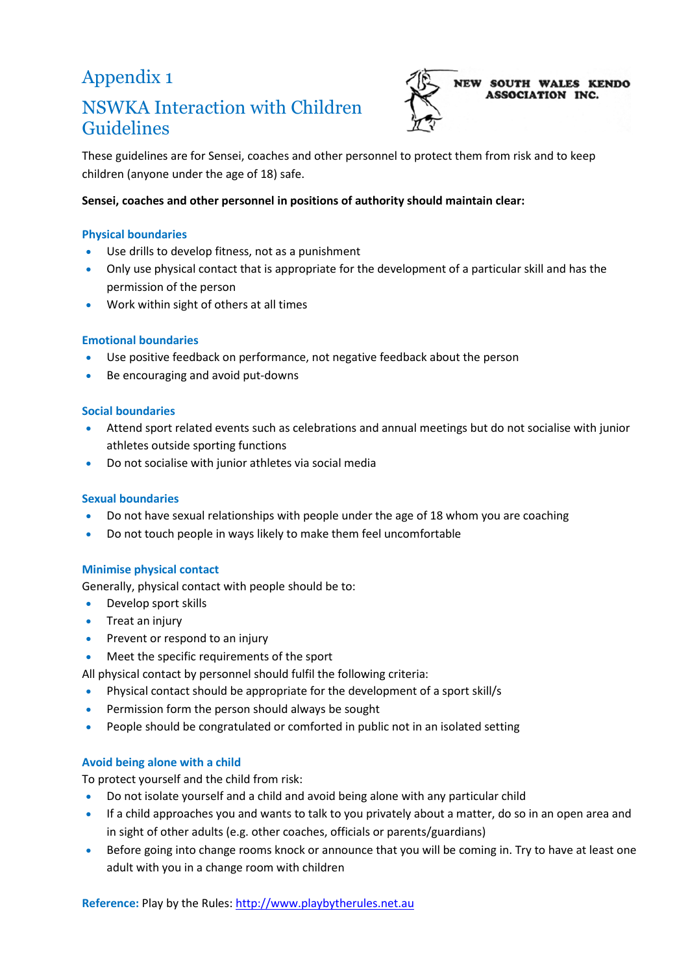## Appendix 1

### NSWKA Interaction with Children Guidelines



These guidelines are for Sensei, coaches and other personnel to protect them from risk and to keep children (anyone under the age of 18) safe.

#### **Sensei, coaches and other personnel in positions of authority should maintain clear:**

#### **Physical boundaries**

- Use drills to develop fitness, not as a punishment
- Only use physical contact that is appropriate for the development of a particular skill and has the permission of the person
- Work within sight of others at all times

#### **Emotional boundaries**

- Use positive feedback on performance, not negative feedback about the person
- Be encouraging and avoid put-downs

#### **Social boundaries**

- Attend sport related events such as celebrations and annual meetings but do not socialise with junior athletes outside sporting functions
- Do not socialise with junior athletes via social media

#### **Sexual boundaries**

- Do not have sexual relationships with people under the age of 18 whom you are coaching
- Do not touch people in ways likely to make them feel uncomfortable

#### **Minimise physical contact**

Generally, physical contact with people should be to:

- Develop sport skills
- Treat an injury
- Prevent or respond to an injury
- Meet the specific requirements of the sport

All physical contact by personnel should fulfil the following criteria:

- Physical contact should be appropriate for the development of a sport skill/s
- Permission form the person should always be sought
- People should be congratulated or comforted in public not in an isolated setting

#### **Avoid being alone with a child**

To protect yourself and the child from risk:

- Do not isolate yourself and a child and avoid being alone with any particular child
- If a child approaches you and wants to talk to you privately about a matter, do so in an open area and in sight of other adults (e.g. other coaches, officials or parents/guardians)
- Before going into change rooms knock or announce that you will be coming in. Try to have at least one adult with you in a change room with children

**Reference:** Play by the Rules: [http://www.playbytherules.net.au](http://www.playbytherules.net.au/)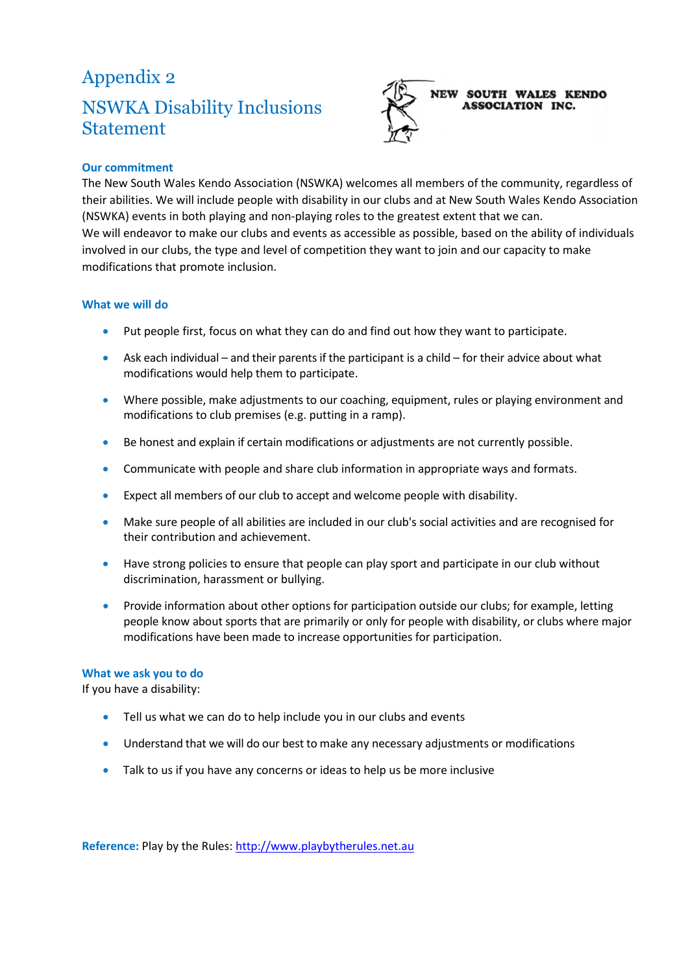## Appendix 2 NSWKA Disability Inclusions Statement



#### **Our commitment**

The New South Wales Kendo Association (NSWKA) welcomes all members of the community, regardless of their abilities. We will include people with disability in our clubs and at New South Wales Kendo Association (NSWKA) events in both playing and non-playing roles to the greatest extent that we can. We will endeavor to make our clubs and events as accessible as possible, based on the ability of individuals involved in our clubs, the type and level of competition they want to join and our capacity to make modifications that promote inclusion.

#### **What we will do**

- Put people first, focus on what they can do and find out how they want to participate.
- Ask each individual and their parents if the participant is a child for their advice about what modifications would help them to participate.
- Where possible, make adjustments to our coaching, equipment, rules or playing environment and modifications to club premises (e.g. putting in a ramp).
- Be honest and explain if certain modifications or adjustments are not currently possible.
- Communicate with people and share club information in appropriate ways and formats.
- Expect all members of our club to accept and welcome people with disability.
- Make sure people of all abilities are included in our club's social activities and are recognised for their contribution and achievement.
- Have strong policies to ensure that people can play sport and participate in our club without discrimination, harassment or bullying.
- Provide information about other options for participation outside our clubs; for example, letting people know about sports that are primarily or only for people with disability, or clubs where major modifications have been made to increase opportunities for participation.

#### **What we ask you to do**

If you have a disability:

- Tell us what we can do to help include you in our clubs and events
- Understand that we will do our best to make any necessary adjustments or modifications
- Talk to us if you have any concerns or ideas to help us be more inclusive

**Reference:** Play by the Rules: [http://www.playbytherules.net.au](http://www.playbytherules.net.au/)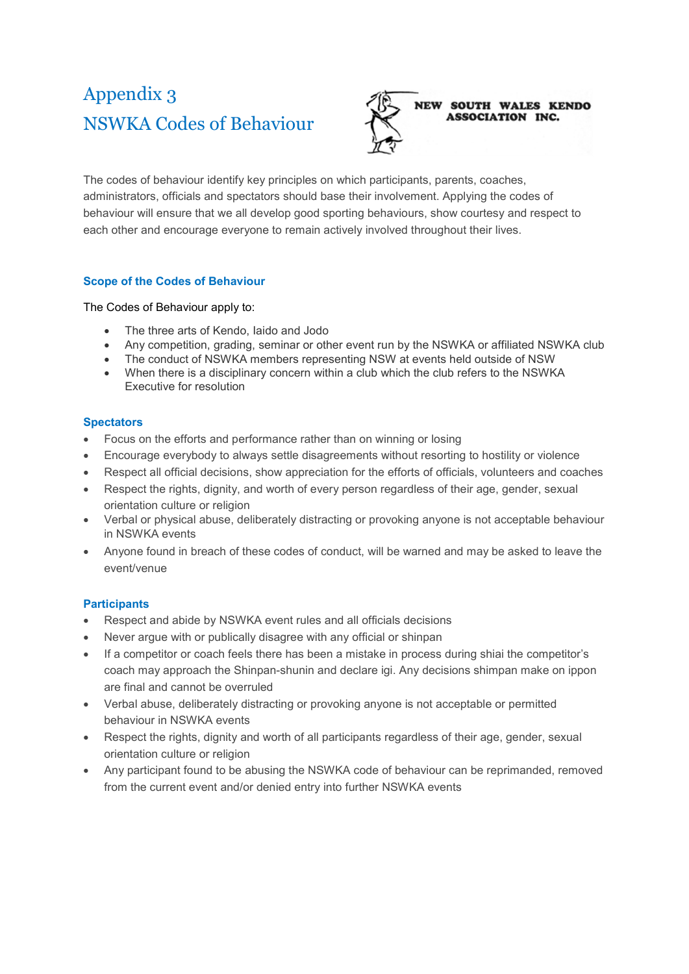# Appendix 3 NSWKA Codes of Behaviour



**NEW SOUTH WALES KENDO ASSOCIATION INC.** 

The codes of behaviour identify key principles on which participants, parents, coaches, administrators, officials and spectators should base their involvement. Applying the codes of behaviour will ensure that we all develop good sporting behaviours, show courtesy and respect to each other and encourage everyone to remain actively involved throughout their lives.

#### **Scope of the Codes of Behaviour**

The Codes of Behaviour apply to:

- The three arts of Kendo, Iaido and Jodo
- Any competition, grading, seminar or other event run by the NSWKA or affiliated NSWKA club
- The conduct of NSWKA members representing NSW at events held outside of NSW
- When there is a disciplinary concern within a club which the club refers to the NSWKA Executive for resolution

#### **Spectators**

- Focus on the efforts and performance rather than on winning or losing
- Encourage everybody to always settle disagreements without resorting to hostility or violence
- Respect all official decisions, show appreciation for the efforts of officials, volunteers and coaches
- Respect the rights, dignity, and worth of every person regardless of their age, gender, sexual orientation culture or religion
- Verbal or physical abuse, deliberately distracting or provoking anyone is not acceptable behaviour in NSWKA events
- Anyone found in breach of these codes of conduct, will be warned and may be asked to leave the event/venue

#### **Participants**

- Respect and abide by NSWKA event rules and all officials decisions
- Never argue with or publically disagree with any official or shinpan
- If a competitor or coach feels there has been a mistake in process during shiai the competitor's coach may approach the Shinpan-shunin and declare igi. Any decisions shimpan make on ippon are final and cannot be overruled
- Verbal abuse, deliberately distracting or provoking anyone is not acceptable or permitted behaviour in NSWKA events
- Respect the rights, dignity and worth of all participants regardless of their age, gender, sexual orientation culture or religion
- Any participant found to be abusing the NSWKA code of behaviour can be reprimanded, removed from the current event and/or denied entry into further NSWKA events